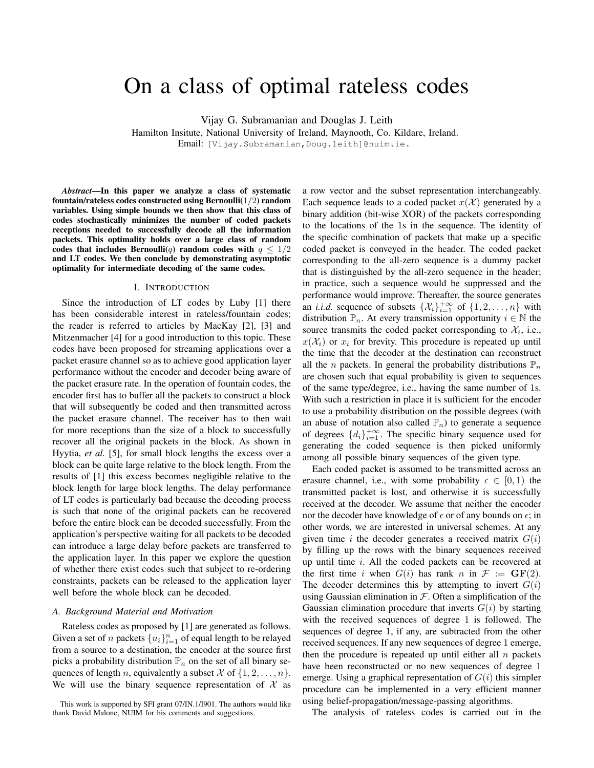# On a class of optimal rateless codes

Vijay G. Subramanian and Douglas J. Leith

Hamilton Insitute, National University of Ireland, Maynooth, Co. Kildare, Ireland. Email: [Vijay.Subramanian,Doug.leith]@nuim.ie.

*Abstract*—In this paper we analyze a class of systematic fountain/rateless codes constructed using Bernoulli $(1/2)$  random variables. Using simple bounds we then show that this class of codes stochastically minimizes the number of coded packets receptions needed to successfully decode all the information packets. This optimality holds over a large class of random codes that includes Bernoulli(q) random codes with  $q \leq 1/2$ and LT codes. We then conclude by demonstrating asymptotic optimality for intermediate decoding of the same codes.

### I. INTRODUCTION

Since the introduction of LT codes by Luby [1] there has been considerable interest in rateless/fountain codes; the reader is referred to articles by MacKay [2], [3] and Mitzenmacher [4] for a good introduction to this topic. These codes have been proposed for streaming applications over a packet erasure channel so as to achieve good application layer performance without the encoder and decoder being aware of the packet erasure rate. In the operation of fountain codes, the encoder first has to buffer all the packets to construct a block that will subsequently be coded and then transmitted across the packet erasure channel. The receiver has to then wait for more receptions than the size of a block to successfully recover all the original packets in the block. As shown in Hyytia, *et al.* [5], for small block lengths the excess over a block can be quite large relative to the block length. From the results of [1] this excess becomes negligible relative to the block length for large block lengths. The delay performance of LT codes is particularly bad because the decoding process is such that none of the original packets can be recovered before the entire block can be decoded successfully. From the application's perspective waiting for all packets to be decoded can introduce a large delay before packets are transferred to the application layer. In this paper we explore the question of whether there exist codes such that subject to re-ordering constraints, packets can be released to the application layer well before the whole block can be decoded.

#### *A. Background Material and Motivation*

Rateless codes as proposed by [1] are generated as follows. Given a set of *n* packets  $\{u_i\}_{i=1}^n$  of equal length to be relayed from a source to a destination, the encoder at the source first picks a probability distribution  $\mathbb{P}_n$  on the set of all binary sequences of length *n*, equivalently a subset  $\mathcal X$  of  $\{1, 2, \ldots, n\}$ . We will use the binary sequence representation of  $\mathcal X$  as a row vector and the subset representation interchangeably. Each sequence leads to a coded packet  $x(\mathcal{X})$  generated by a binary addition (bit-wise XOR) of the packets corresponding to the locations of the 1s in the sequence. The identity of the specific combination of packets that make up a specific coded packet is conveyed in the header. The coded packet corresponding to the all-zero sequence is a dummy packet that is distinguished by the all-zero sequence in the header; in practice, such a sequence would be suppressed and the performance would improve. Thereafter, the source generates an *i.i.d.* sequence of subsets  $\{\mathcal{X}_i\}_{i=1}^{+\infty}$  of  $\{1, 2, ..., n\}$  with distribution  $\mathbb{P}_n$ . At every transmission opportunity  $i \in \mathbb{N}$  the source transmits the coded packet corresponding to  $\mathcal{X}_i$ , i.e.,  $x(\mathcal{X}_i)$  or  $x_i$  for brevity. This procedure is repeated up until the time that the decoder at the destination can reconstruct all the *n* packets. In general the probability distributions  $\mathbb{P}_n$ are chosen such that equal probability is given to sequences of the same type/degree, i.e., having the same number of 1s. With such a restriction in place it is sufficient for the encoder to use a probability distribution on the possible degrees (with an abuse of notation also called  $\mathbb{P}_n$ ) to generate a sequence of degrees  $\{d_i\}_{i=1}^{+\infty}$ . The specific binary sequence used for generating the coded sequence is then picked uniformly among all possible binary sequences of the given type.

Each coded packet is assumed to be transmitted across an erasure channel, i.e., with some probability  $\epsilon \in [0,1)$  the transmitted packet is lost, and otherwise it is successfully received at the decoder. We assume that neither the encoder nor the decoder have knowledge of  $\epsilon$  or of any bounds on  $\epsilon$ ; in other words, we are interested in universal schemes. At any given time i the decoder generates a received matrix  $G(i)$ by filling up the rows with the binary sequences received up until time  $i$ . All the coded packets can be recovered at the first time i when  $G(i)$  has rank n in  $\mathcal{F} := \mathbf{GF}(2)$ . The decoder determines this by attempting to invert  $G(i)$ using Gaussian elimination in  $F$ . Often a simplification of the Gaussian elimination procedure that inverts  $G(i)$  by starting with the received sequences of degree 1 is followed. The sequences of degree 1, if any, are subtracted from the other received sequences. If any new sequences of degree 1 emerge, then the procedure is repeated up until either all  $n$  packets have been reconstructed or no new sequences of degree 1 emerge. Using a graphical representation of  $G(i)$  this simpler procedure can be implemented in a very efficient manner using belief-propagation/message-passing algorithms.

The analysis of rateless codes is carried out in the

This work is supported by SFI grant 07/IN.1/I901. The authors would like thank David Malone, NUIM for his comments and suggestions.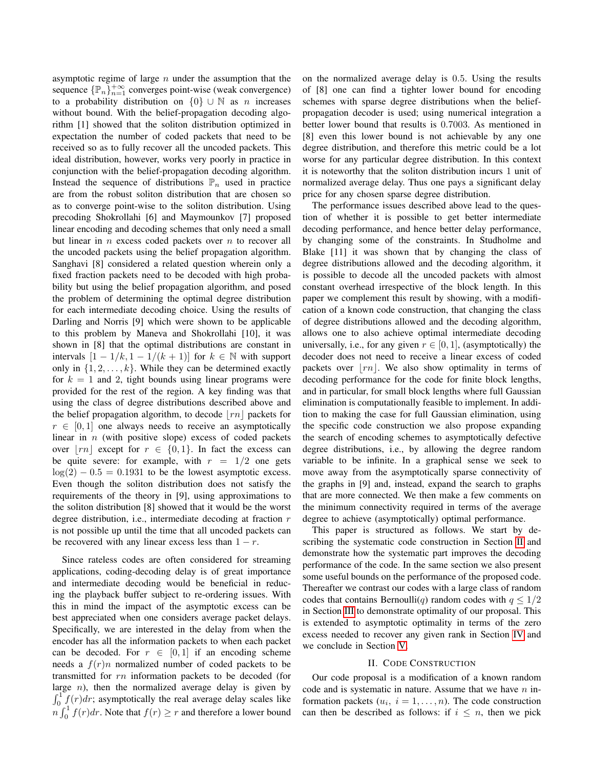asymptotic regime of large  $n$  under the assumption that the sequence  $\{\mathbb{P}_n\}_{n=1}^{+\infty}$  converges point-wise (weak convergence) to a probability distribution on  $\{0\} \cup \mathbb{N}$  as n increases without bound. With the belief-propagation decoding algorithm [1] showed that the soliton distribution optimized in expectation the number of coded packets that need to be received so as to fully recover all the uncoded packets. This ideal distribution, however, works very poorly in practice in conjunction with the belief-propagation decoding algorithm. Instead the sequence of distributions  $\mathbb{P}_n$  used in practice are from the robust soliton distribution that are chosen so as to converge point-wise to the soliton distribution. Using precoding Shokrollahi [6] and Maymounkov [7] proposed linear encoding and decoding schemes that only need a small but linear in  $n$  excess coded packets over  $n$  to recover all the uncoded packets using the belief propagation algorithm. Sanghavi [8] considered a related question wherein only a fixed fraction packets need to be decoded with high probability but using the belief propagation algorithm, and posed the problem of determining the optimal degree distribution for each intermediate decoding choice. Using the results of Darling and Norris [9] which were shown to be applicable to this problem by Maneva and Shokrollahi [10], it was shown in [8] that the optimal distributions are constant in intervals  $[1 - 1/k, 1 - 1/(k + 1)]$  for  $k \in \mathbb{N}$  with support only in  $\{1, 2, \ldots, k\}$ . While they can be determined exactly for  $k = 1$  and 2, tight bounds using linear programs were provided for the rest of the region. A key finding was that using the class of degree distributions described above and the belief propagation algorithm, to decode  $\lfloor rn \rfloor$  packets for  $r \in [0, 1]$  one always needs to receive an asymptotically linear in  $n$  (with positive slope) excess of coded packets over |rn| except for  $r \in \{0, 1\}$ . In fact the excess can be quite severe: for example, with  $r = 1/2$  one gets  $log(2) - 0.5 = 0.1931$  to be the lowest asymptotic excess. Even though the soliton distribution does not satisfy the requirements of the theory in [9], using approximations to the soliton distribution [8] showed that it would be the worst degree distribution, i.e., intermediate decoding at fraction r is not possible up until the time that all uncoded packets can be recovered with any linear excess less than  $1 - r$ .

Since rateless codes are often considered for streaming applications, coding-decoding delay is of great importance and intermediate decoding would be beneficial in reducing the playback buffer subject to re-ordering issues. With this in mind the impact of the asymptotic excess can be best appreciated when one considers average packet delays. Specifically, we are interested in the delay from when the encoder has all the information packets to when each packet can be decoded. For  $r \in [0, 1]$  if an encoding scheme needs a  $f(r)n$  normalized number of coded packets to be transmitted for rn information packets to be decoded (for large  $n$ ), then the normalized average delay is given by  $\int_0^1 f(r) dr$ ; asymptotically the real average delay scales like  $\int_0^1 f(r) dr$ . Note that  $f(r) \ge r$  and therefore a lower bound on the normalized average delay is 0.5. Using the results of [8] one can find a tighter lower bound for encoding schemes with sparse degree distributions when the beliefpropagation decoder is used; using numerical integration a better lower bound that results is 0.7003. As mentioned in [8] even this lower bound is not achievable by any one degree distribution, and therefore this metric could be a lot worse for any particular degree distribution. In this context it is noteworthy that the soliton distribution incurs 1 unit of normalized average delay. Thus one pays a significant delay price for any chosen sparse degree distribution.

The performance issues described above lead to the question of whether it is possible to get better intermediate decoding performance, and hence better delay performance, by changing some of the constraints. In Studholme and Blake [11] it was shown that by changing the class of degree distributions allowed and the decoding algorithm, it is possible to decode all the uncoded packets with almost constant overhead irrespective of the block length. In this paper we complement this result by showing, with a modification of a known code construction, that changing the class of degree distributions allowed and the decoding algorithm, allows one to also achieve optimal intermediate decoding universally, i.e., for any given  $r \in [0, 1]$ , (asymptotically) the decoder does not need to receive a linear excess of coded packets over  $\lfloor rn \rfloor$ . We also show optimality in terms of decoding performance for the code for finite block lengths, and in particular, for small block lengths where full Gaussian elimination is computationally feasible to implement. In addition to making the case for full Gaussian elimination, using the specific code construction we also propose expanding the search of encoding schemes to asymptotically defective degree distributions, i.e., by allowing the degree random variable to be infinite. In a graphical sense we seek to move away from the asymptotically sparse connectivity of the graphs in [9] and, instead, expand the search to graphs that are more connected. We then make a few comments on the minimum connectivity required in terms of the average degree to achieve (asymptotically) optimal performance.

This paper is structured as follows. We start by describing the systematic code construction in Section [II](#page-1-0) and demonstrate how the systematic part improves the decoding performance of the code. In the same section we also present some useful bounds on the performance of the proposed code. Thereafter we contrast our codes with a large class of random codes that contains Bernoulli(q) random codes with  $q \leq 1/2$ in Section [III](#page-3-0) to demonstrate optimality of our proposal. This is extended to asymptotic optimality in terms of the zero excess needed to recover any given rank in Section [IV](#page-5-0) and we conclude in Section [V.](#page-6-0)

#### II. CODE CONSTRUCTION

<span id="page-1-0"></span>Our code proposal is a modification of a known random code and is systematic in nature. Assume that we have  $n$  information packets  $(u_i, i = 1, \ldots, n)$ . The code construction can then be described as follows: if  $i \leq n$ , then we pick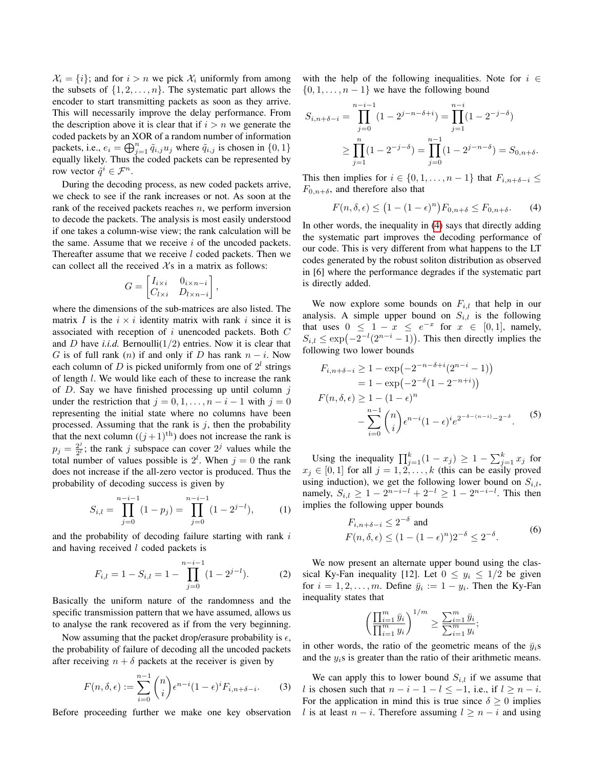$\mathcal{X}_i = \{i\}$ ; and for  $i > n$  we pick  $\mathcal{X}_i$  uniformly from among the subsets of  $\{1, 2, \ldots, n\}$ . The systematic part allows the encoder to start transmitting packets as soon as they arrive. This will necessarily improve the delay performance. From the description above it is clear that if  $i > n$  we generate the coded packets by an XOR of a random number of information packets, i.e.,  $e_i = \bigoplus_{j=1}^n \tilde{q}_{i,j} u_j$  where  $\tilde{q}_{i,j}$  is chosen in  $\{0, 1\}$ equally likely. Thus the coded packets can be represented by row vector  $\tilde{q}^i \in \mathcal{F}^n$ .

During the decoding process, as new coded packets arrive, we check to see if the rank increases or not. As soon at the rank of the received packets reaches  $n$ , we perform inversion to decode the packets. The analysis is most easily understood if one takes a column-wise view; the rank calculation will be the same. Assume that we receive  $i$  of the uncoded packets. Thereafter assume that we receive  $l$  coded packets. Then we can collect all the received  $X_s$  in a matrix as follows:

$$
G = \begin{bmatrix} I_{i \times i} & 0_{i \times n - i} \\ C_{l \times i} & D_{l \times n - i} \end{bmatrix},
$$

where the dimensions of the sub-matrices are also listed. The matrix I is the  $i \times i$  identity matrix with rank i since it is associated with reception of i unencoded packets. Both C and *D* have *i.i.d.* Bernoulli $(1/2)$  entries. Now it is clear that G is of full rank  $(n)$  if and only if D has rank  $n - i$ . Now each column of D is picked uniformly from one of  $2^l$  strings of length l. We would like each of these to increase the rank of  $D$ . Say we have finished processing up until column  $j$ under the restriction that  $j = 0, 1, \ldots, n - i - 1$  with  $j = 0$ representing the initial state where no columns have been processed. Assuming that the rank is  $i$ , then the probability that the next column  $((j+1)$ <sup>th</sup>) does not increase the rank is  $p_j = \frac{2^j}{2^l}$  $\frac{2^j}{2^l}$ ; the rank j subspace can cover  $2^j$  values while the total number of values possible is  $2^l$ . When  $j = 0$  the rank does not increase if the all-zero vector is produced. Thus the probability of decoding success is given by

$$
S_{i,l} = \prod_{j=0}^{n-i-1} (1 - p_j) = \prod_{j=0}^{n-i-1} (1 - 2^{j-l}),
$$
 (1)

and the probability of decoding failure starting with rank i and having received  $l$  coded packets is

$$
F_{i,l} = 1 - S_{i,l} = 1 - \prod_{j=0}^{n-i-1} (1 - 2^{j-l}).
$$
 (2)

Basically the uniform nature of the randomness and the specific transmission pattern that we have assumed, allows us to analyse the rank recovered as if from the very beginning.

Now assuming that the packet drop/erasure probability is  $\epsilon$ , the probability of failure of decoding all the uncoded packets after receiving  $n + \delta$  packets at the receiver is given by

$$
F(n,\delta,\epsilon) := \sum_{i=0}^{n-1} \binom{n}{i} \epsilon^{n-i} (1-\epsilon)^i F_{i,n+\delta-i}.
$$
 (3)

Before proceeding further we make one key observation

with the help of the following inequalities. Note for  $i \in$  $\{0, 1, \ldots, n-1\}$  we have the following bound

$$
S_{i,n+\delta-i} = \prod_{j=0}^{n-i-1} (1 - 2^{j-n-\delta+i}) = \prod_{j=1}^{n-i} (1 - 2^{-j-\delta})
$$
  
 
$$
\geq \prod_{j=1}^{n} (1 - 2^{-j-\delta}) = \prod_{j=0}^{n-1} (1 - 2^{j-n-\delta}) = S_{0,n+\delta}.
$$

This then implies for  $i \in \{0, 1, \ldots, n-1\}$  that  $F_{i,n+\delta-i} \leq$  $F_{0,n+\delta}$ , and therefore also that

<span id="page-2-0"></span>
$$
F(n,\delta,\epsilon) \le (1 - (1 - \epsilon)^n) F_{0,n+\delta} \le F_{0,n+\delta}.
$$
 (4)

In other words, the inequality in [\(4\)](#page-2-0) says that directly adding the systematic part improves the decoding performance of our code. This is very different from what happens to the LT codes generated by the robust soliton distribution as observed in [6] where the performance degrades if the systematic part is directly added.

We now explore some bounds on  $F_{i,l}$  that help in our analysis. A simple upper bound on  $S_{i,l}$  is the following that uses  $0 \leq 1 - x \leq e^{-x}$  for  $x \in [0,1]$ , namely,  $S_{i,l} \leq \exp(-2^{-l}(2^{n-i}-1))$ . This then directly implies the following two lower bounds

<span id="page-2-2"></span>
$$
F_{i,n+\delta-i} \ge 1 - \exp(-2^{-n-\delta+i}(2^{n-i}-1))
$$
  
= 1 - \exp(-2^{-\delta}(1-2^{-n+i}))  

$$
F(n,\delta,\epsilon) \ge 1 - (1-\epsilon)^n
$$
  

$$
-\sum_{i=0}^{n-1} {n \choose i} \epsilon^{n-i} (1-\epsilon)^i e^{2^{-\delta-(n-i)}-2^{-\delta}}.
$$
 (5)

<span id="page-2-3"></span>Using the inequality  $\prod_{j=1}^{k} (1 - x_j) \geq 1 - \sum_{j=1}^{k} x_j$  for  $x_j \in [0, 1]$  for all  $j = 1, 2, \ldots, k$  (this can be easily proved using induction), we get the following lower bound on  $S_{i,l}$ , namely,  $S_{i,l} \ge 1 - 2^{n-i-l} + 2^{-l} \ge 1 - 2^{n-i-l}$ . This then implies the following upper bounds

<span id="page-2-1"></span>
$$
F_{i,n+\delta-i} \le 2^{-\delta} \text{ and}
$$
  

$$
F(n,\delta,\epsilon) \le (1 - (1 - \epsilon)^n)2^{-\delta} \le 2^{-\delta}.
$$
 (6)

We now present an alternate upper bound using the classical Ky-Fan inequality [12]. Let  $0 \le y_i \le 1/2$  be given for  $i = 1, 2, \dots, m$ . Define  $\bar{y}_i := 1 - y_i$ . Then the Ky-Fan inequality states that

$$
\left(\frac{\prod_{i=1}^m \bar{y}_i}{\prod_{i=1}^m y_i}\right)^{1/m} \ge \frac{\sum_{i=1}^m \bar{y}_i}{\sum_{i=1}^m y_i};
$$

in other words, the ratio of the geometric means of the  $\bar{y}_i$ s and the  $y_i$ s is greater than the ratio of their arithmetic means.

We can apply this to lower bound  $S_{i,l}$  if we assume that l is chosen such that  $n - i - 1 - l \le -1$ , i.e., if  $l \ge n - i$ . For the application in mind this is true since  $\delta > 0$  implies l is at least  $n - i$ . Therefore assuming  $l \geq n - i$  and using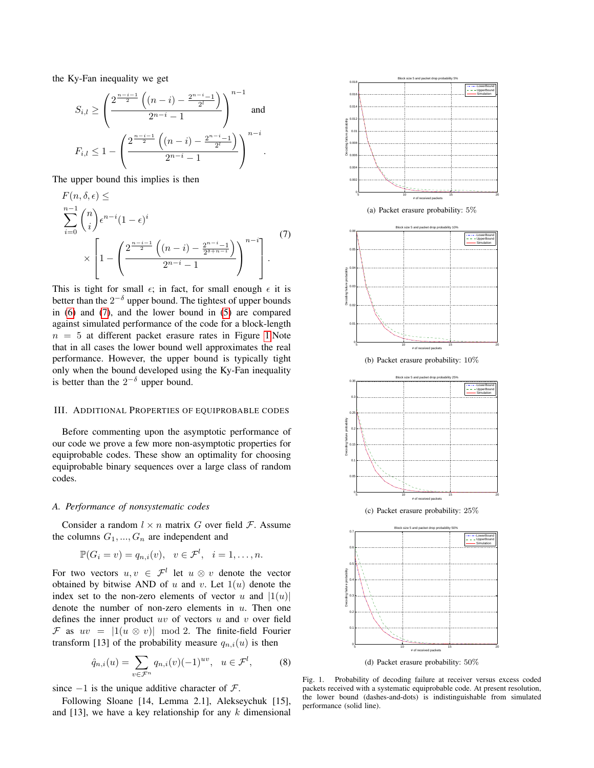the Ky-Fan inequality we get

$$
S_{i,l} \ge \left(\frac{2^{\frac{n-i-1}{2}}\left((n-i)-\frac{2^{n-i}-1}{2^l}\right)}{2^{n-i}-1}\right)^{n-1}
$$
 and  

$$
F_{i,l} \le 1 - \left(\frac{2^{\frac{n-i-1}{2}}\left((n-i)-\frac{2^{n-i}-1}{2^l}\right)}{2^{n-i}-1}\right)^{n-i}.
$$

The upper bound this implies is then

$$
F(n, \delta, \epsilon) \le
$$
  
\n
$$
\sum_{i=0}^{n-1} {n \choose i} \epsilon^{n-i} (1-\epsilon)^i
$$
  
\n
$$
\times \left[1 - \left(\frac{2^{\frac{n-i-1}{2}} \left((n-i) - \frac{2^{n-i}-1}{2^{\delta+n-i}}\right)}{2^{n-i}-1}\right)^{n-i}\right].
$$
\n(7)

This is tight for small  $\epsilon$ ; in fact, for small enough  $\epsilon$  it is better than the  $2^{-\delta}$  upper bound. The tightest of upper bounds in [\(6\)](#page-2-1) and [\(7\)](#page-3-1), and the lower bound in [\(5\)](#page-2-2) are compared against simulated performance of the code for a block-length  $n = 5$  at different packet erasure rates in Figure [1.](#page-3-2)Note that in all cases the lower bound well approximates the real performance. However, the upper bound is typically tight only when the bound developed using the Ky-Fan inequality is better than the  $2^{-\delta}$  upper bound.

## <span id="page-3-0"></span>III. ADDITIONAL PROPERTIES OF EQUIPROBABLE CODES

Before commenting upon the asymptotic performance of our code we prove a few more non-asymptotic properties for equiprobable codes. These show an optimality for choosing equiprobable binary sequences over a large class of random codes.

#### *A. Performance of nonsystematic codes*

Consider a random  $l \times n$  matrix G over field F. Assume the columns  $G_1, ..., G_n$  are independent and

$$
\mathbb{P}(G_i = v) = q_{n,i}(v), \quad v \in \mathcal{F}^l, \quad i = 1, \dots, n.
$$

For two vectors  $u, v \in \mathcal{F}^l$  let  $u \otimes v$  denote the vector obtained by bitwise AND of u and v. Let  $1(u)$  denote the index set to the non-zero elements of vector u and  $|1(u)|$ denote the number of non-zero elements in  $u$ . Then one defines the inner product  $uv$  of vectors  $u$  and  $v$  over field F as  $uv = |1(u \otimes v)| \mod 2$ . The finite-field Fourier transform [13] of the probability measure  $q_{n,i}(u)$  is then

$$
\hat{q}_{n,i}(u) = \sum_{v \in \mathcal{F}^n} q_{n,i}(v) (-1)^{uv}, \quad u \in \mathcal{F}^l,
$$
 (8)

since  $-1$  is the unique additive character of  $\mathcal{F}$ .

Following Sloane [14, Lemma 2.1], Alekseychuk [15], and  $[13]$ , we have a key relationship for any k dimensional

<span id="page-3-1"></span>

<span id="page-3-2"></span>(d) Packet erasure probability: 50%

<span id="page-3-3"></span>Fig. 1. Probability of decoding failure at receiver versus excess coded packets received with a systematic equiprobable code. At present resolution, the lower bound (dashes-and-dots) is indistinguishable from simulated performance (solid line).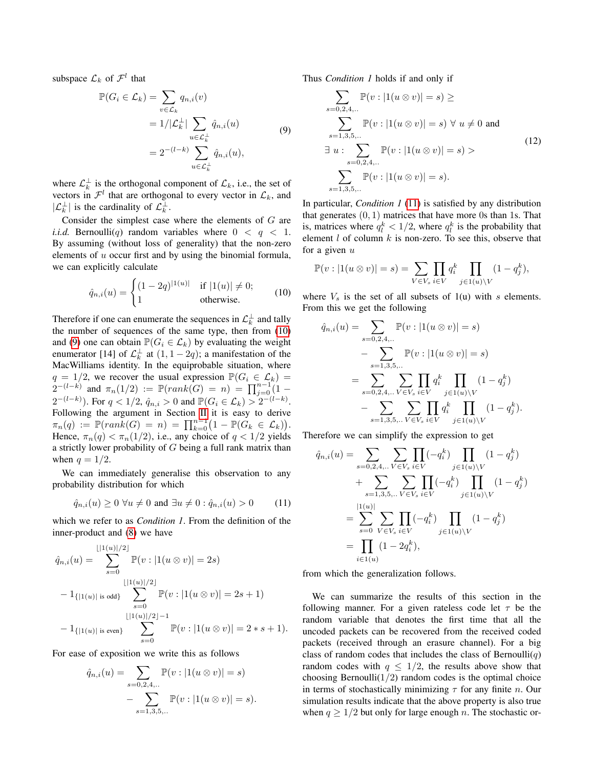subspace  $\mathcal{L}_k$  of  $\mathcal{F}^l$  that

$$
\mathbb{P}(G_i \in \mathcal{L}_k) = \sum_{v \in \mathcal{L}_k} q_{n,i}(v)
$$
  
=  $1/|\mathcal{L}_k^{\perp}| \sum_{u \in \mathcal{L}_k^{\perp}} \hat{q}_{n,i}(u)$   
=  $2^{-(l-k)} \sum_{u \in \mathcal{L}_k^{\perp}} \hat{q}_{n,i}(u)$ , (9)

where  $\mathcal{L}_k^{\perp}$  is the orthogonal component of  $\mathcal{L}_k$ , i.e., the set of vectors in  $\mathcal{F}^l$  that are orthogonal to every vector in  $\mathcal{L}_k$ , and  $|\mathcal{L}_k^{\perp}|$  is the cardinality of  $\mathcal{L}_k^{\perp}$ .

Consider the simplest case where the elements of G are *i.i.d.* Bernoulli(q) random variables where  $0 < q < 1$ . By assuming (without loss of generality) that the non-zero elements of  $u$  occur first and by using the binomial formula, we can explicitly calculate

$$
\hat{q}_{n,i}(u) = \begin{cases} (1 - 2q)^{|1(u)|} & \text{if } |1(u)| \neq 0; \\ 1 & \text{otherwise.} \end{cases}
$$
(10)

Therefore if one can enumerate the sequences in  $\mathcal{L}_k^{\perp}$  and tally the number of sequences of the same type, then from [\(10\)](#page-4-0) and [\(9\)](#page-4-1) one can obtain  $\mathbb{P}(G_i \in \mathcal{L}_k)$  by evaluating the weight enumerator [14] of  $\mathcal{L}_k^{\perp}$  at  $(1, 1-2q)$ ; a manifestation of the MacWilliams identity. In the equiprobable situation, where  $q = 1/2$ , we recover the usual expression  $\mathbb{P}(G_i \in \mathcal{L}_k) =$  $2^{-(l-k)}$  and  $\pi_n(1/2) := \mathbb{P}(rank(G) = n) = \prod_{j=0}^{n-1} (1 2^{-(l-k)}$ ). For  $q < 1/2$ ,  $\hat{q}_{n,i} > 0$  and  $\mathbb{P}(G_i \in \mathcal{L}_k) > 2^{-(l-k)}$ . Following the argument in Section [II](#page-1-0) it is easy to derive  $\pi_n(q) := \mathbb{P}(rank(G) = n) = \prod_{k=0}^{n-1} (1 - \mathbb{P}(\check{G}_k \in \mathcal{L}_k)).$ Hence,  $\pi_n(q) < \pi_n(1/2)$ , i.e., any choice of  $q < 1/2$  yields a strictly lower probability of  $G$  being a full rank matrix than when  $q = 1/2$ .

We can immediately generalise this observation to any probability distribution for which

$$
\hat{q}_{n,i}(u) \ge 0 \,\forall u \ne 0 \text{ and } \exists u \ne 0 : \hat{q}_{n,i}(u) > 0 \quad (11)
$$

which we refer to as *Condition 1*. From the definition of the inner-product and [\(8\)](#page-3-3) we have

$$
\hat{q}_{n,i}(u) = \sum_{s=0}^{\lfloor |1(u)|/2 \rfloor} \mathbb{P}(v : |1(u \otimes v)| = 2s)
$$
  

$$
-1_{\{|1(u)| \text{ is odd}\}} \sum_{s=0}^{\lfloor |1(u)|/2 \rfloor} \mathbb{P}(v : |1(u \otimes v)| = 2s + 1)
$$
  

$$
-1_{\{|1(u)| \text{ is even}\}} \sum_{s=0}^{\lfloor |1(u)|/2 \rfloor - 1} \mathbb{P}(v : |1(u \otimes v)| = 2*s + 1).
$$

For ease of exposition we write this as follows

$$
\hat{q}_{n,i}(u) = \sum_{s=0,2,4,...} \mathbb{P}(v : |1(u \otimes v)| = s) - \sum_{s=1,3,5,...} \mathbb{P}(v : |1(u \otimes v)| = s).
$$

<span id="page-4-1"></span>Thus *Condition 1* holds if and only if

$$
\sum_{s=0,2,4,...} \mathbb{P}(v : |1(u \otimes v)| = s) \ge
$$
  

$$
\sum_{s=1,3,5,...} \mathbb{P}(v : |1(u \otimes v)| = s) \forall u \neq 0 \text{ and}
$$
  

$$
\exists u : \sum_{s=0,2,4,...} \mathbb{P}(v : |1(u \otimes v)| = s) >
$$
(12)  

$$
\sum_{s=1,3,5,...} \mathbb{P}(v : |1(u \otimes v)| = s).
$$

In particular, *Condition 1* [\(11\)](#page-4-2) is satisfied by any distribution that generates  $(0, 1)$  matrices that have more 0s than 1s. That is, matrices where  $q_l^k < 1/2$ , where  $q_l^k$  is the probability that element  $l$  of column  $k$  is non-zero. To see this, observe that for a given  $u$ 

$$
\mathbb{P}(v:|1(u\otimes v)|=s)=\sum_{V\in V_s}\prod_{i\in V}q_i^k\prod_{j\in 1(u)\setminus V}(1-q_j^k),
$$

<span id="page-4-0"></span>where  $V_s$  is the set of all subsets of 1(u) with s elements. From this we get the following

$$
\hat{q}_{n,i}(u) = \sum_{s=0,2,4,...} \mathbb{P}(v : |1(u \otimes v)| = s)
$$
  

$$
- \sum_{s=1,3,5,...} \mathbb{P}(v : |1(u \otimes v)| = s)
$$
  

$$
= \sum_{s=0,2,4,...} \sum_{V \in V_s} \prod_{i \in V} q_i^k \prod_{j \in 1(u) \setminus V} (1 - q_j^k)
$$
  

$$
- \sum_{s=1,3,5,...} \sum_{V \in V_s} \prod_{i \in V} q_i^k \prod_{j \in 1(u) \setminus V} (1 - q_j^k).
$$

Therefore we can simplify the expression to get

<span id="page-4-2"></span>
$$
\hat{q}_{n,i}(u) = \sum_{s=0,2,4,..} \sum_{V \in V_s} \prod_{i \in V} (-q_i^k) \prod_{j \in 1(u) \setminus V} (1 - q_j^k) \n+ \sum_{s=1,3,5,..} \sum_{V \in V_s} \prod_{i \in V} (-q_i^k) \prod_{j \in 1(u) \setminus V} (1 - q_j^k) \n= \sum_{s=0}^{|1(u)|} \sum_{V \in V_s} \prod_{i \in V} (-q_i^k) \prod_{j \in 1(u) \setminus V} (1 - q_j^k) \n= \prod_{i \in 1(u)} (1 - 2q_i^k),
$$

from which the generalization follows.

We can summarize the results of this section in the following manner. For a given rateless code let  $\tau$  be the random variable that denotes the first time that all the uncoded packets can be recovered from the received coded packets (received through an erasure channel). For a big class of random codes that includes the class of Bernoulli $(q)$ random codes with  $q \leq 1/2$ , the results above show that choosing Bernoulli $(1/2)$  random codes is the optimal choice in terms of stochastically minimizing  $\tau$  for any finite n. Our simulation results indicate that the above property is also true when  $q \geq 1/2$  but only for large enough n. The stochastic or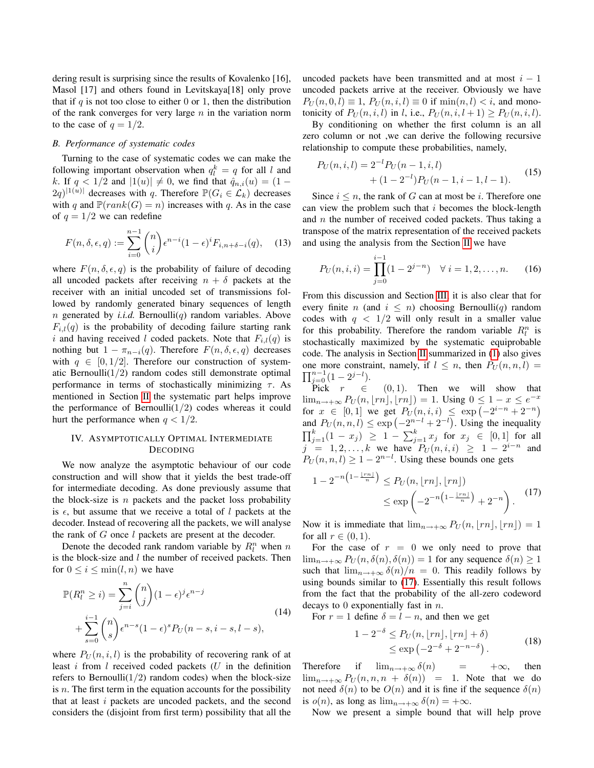dering result is surprising since the results of Kovalenko [16], Masol [17] and others found in Levitskaya[18] only prove that if  $q$  is not too close to either 0 or 1, then the distribution of the rank converges for very large  $n$  in the variation norm to the case of  $q = 1/2$ .

## *B. Performance of systematic codes*

Turning to the case of systematic codes we can make the following important observation when  $q_l^k = q$  for all l and k. If  $q < 1/2$  and  $|1(u)| \neq 0$ , we find that  $\hat{q}_{n,i}(u) = (1 (2q)^{|1(u)|}$  decreases with q. Therefore  $\mathbb{P}(G_i \in \mathcal{L}_k)$  decreases with q and  $\mathbb{P}(rank(G) = n)$  increases with q. As in the case of  $q = 1/2$  we can redefine

$$
F(n, \delta, \epsilon, q) := \sum_{i=0}^{n-1} {n \choose i} \epsilon^{n-i} (1-\epsilon)^i F_{i, n+\delta-i}(q), \quad (13)
$$

where  $F(n, \delta, \epsilon, q)$  is the probability of failure of decoding all uncoded packets after receiving  $n + \delta$  packets at the receiver with an initial uncoded set of transmissions followed by randomly generated binary sequences of length  $n$  generated by *i.i.d.* Bernoulli( $q$ ) random variables. Above  $F_{i,l}(q)$  is the probability of decoding failure starting rank i and having received l coded packets. Note that  $F_{i,l}(q)$  is nothing but  $1 - \pi_{n-i}(q)$ . Therefore  $F(n, \delta, \epsilon, q)$  decreases with  $q \in [0, 1/2]$ . Therefore our construction of systematic Bernoulli $(1/2)$  random codes still demonstrate optimal performance in terms of stochastically minimizing  $\tau$ . As mentioned in Section [II](#page-1-0) the systematic part helps improve the performance of Bernoulli $(1/2)$  codes whereas it could hurt the performance when  $q < 1/2$ .

# <span id="page-5-0"></span>IV. ASYMPTOTICALLY OPTIMAL INTERMEDIATE DECODING

We now analyze the asymptotic behaviour of our code construction and will show that it yields the best trade-off for intermediate decoding. As done previously assume that the block-size is  $n$  packets and the packet loss probability is  $\epsilon$ , but assume that we receive a total of l packets at the decoder. Instead of recovering all the packets, we will analyse the rank of G once l packets are present at the decoder.

Denote the decoded rank random variable by  $R_l^n$  when n is the block-size and  $l$  the number of received packets. Then for  $0 \leq i \leq \min(l, n)$  we have

$$
\mathbb{P}(R_l^n \ge i) = \sum_{j=i}^n \binom{n}{j} (1 - \epsilon)^j \epsilon^{n-j}
$$
\n
$$
+ \sum_{s=0}^{i-1} \binom{n}{s} \epsilon^{n-s} (1 - \epsilon)^s P_U(n - s, i - s, l - s),
$$
\n(14)

where  $P_U(n, i, l)$  is the probability of recovering rank of at least  $i$  from  $l$  received coded packets  $(U$  in the definition refers to Bernoulli $(1/2)$  random codes) when the block-size is  $n$ . The first term in the equation accounts for the possibility that at least i packets are uncoded packets, and the second considers the (disjoint from first term) possibility that all the uncoded packets have been transmitted and at most  $i - 1$ uncoded packets arrive at the receiver. Obviously we have  $P_U(n, 0, l) \equiv 1$ ,  $P_U(n, i, l) \equiv 0$  if  $\min(n, l) < i$ , and monotonicity of  $P_U(n, i, l)$  in l, i.e.,  $P_U(n, i, l + 1) > P_U(n, i, l)$ .

By conditioning on whether the first column is an all zero column or not ,we can derive the following recursive relationship to compute these probabilities, namely,

$$
P_U(n, i, l) = 2^{-l} P_U(n - 1, i, l)
$$
  
+ 
$$
(1 - 2^{-l}) P_U(n - 1, i - 1, l - 1).
$$
 (15)

Since  $i \leq n$ , the rank of G can at most be i. Therefore one can view the problem such that  $i$  becomes the block-length and  $n$  the number of received coded packets. Thus taking a transpose of the matrix representation of the received packets and using the analysis from the Section [II](#page-1-0) we have

$$
P_U(n, i, i) = \prod_{j=0}^{i-1} (1 - 2^{j-n}) \quad \forall \ i = 1, 2, \dots, n. \tag{16}
$$

From this discussion and Section [III,](#page-3-0) it is also clear that for every finite n (and  $i \leq n$ ) choosing Bernoulli(q) random codes with  $q < 1/2$  will only result in a smaller value for this probability. Therefore the random variable  $R_l^n$  is stochastically maximized by the systematic equiprobable code. The analysis in Section [II](#page-1-0) summarized in [\(1\)](#page-2-3) also gives one more constraint, namely, if  $l \leq n$ , then  $P_U(n, n, l)$  $\prod_{j=0}^{n-1} (1-2^{j-l}).$ 

Pick  $r \in (0, 1)$ . Then we will show that  $\lim_{n\to+\infty} P_U(n, \lfloor rn \rfloor, \lfloor rn \rfloor) = 1$ . Using  $0 \leq 1 - x \leq e^{-x}$ for  $x \in [0,1]$  we get  $P_U(n,i,i) \leq \exp(-2^{i-n}+2^{-n})$ and  $P_U(n, n, l) \le \exp(-2^{n-l} + 2^{-l})$ . Using the inequality  $\prod_{j=1}^{k} (1-x_j) \geq 1 - \sum_{j=1}^{k} x_j$  for  $x_j \in [0,1]$  for all  $j = 1, 2, ..., k$  we have  $P_U(n, i, i) \ge 1 - 2^{i-n}$  and  $P_U(n, n, l) \ge 1 - 2^{n-l}$ . Using these bounds one gets

<span id="page-5-1"></span>
$$
1 - 2^{-n\left(1 - \frac{\lfloor rn \rfloor}{n}\right)} \le P_U(n, \lfloor rn \rfloor, \lfloor rn \rfloor) \le \exp\left(-2^{-n\left(1 - \frac{\lfloor rn \rfloor}{n}\right)} + 2^{-n}\right).
$$
 (17)

Now it is immediate that  $\lim_{n\to+\infty} P_U(n, \lfloor rn \rfloor, \lfloor rn \rfloor) = 1$ for all  $r \in (0,1)$ .

For the case of  $r = 0$  we only need to prove that  $\lim_{n\to+\infty} P_U(n,\delta(n),\delta(n)) = 1$  for any sequence  $\delta(n) \geq 1$ such that  $\lim_{n\to+\infty} \delta(n)/n = 0$ . This readily follows by using bounds similar to [\(17\)](#page-5-1). Essentially this result follows from the fact that the probability of the all-zero codeword decays to 0 exponentially fast in n.

For  $r = 1$  define  $\delta = l - n$ , and then we get

$$
1 - 2^{-\delta} \le P_U(n, \lfloor rn \rfloor, \lfloor rn \rfloor + \delta)
$$
  
 
$$
\le \exp\left(-2^{-\delta} + 2^{-n-\delta}\right).
$$
 (18)

Therefore if  $\lim_{n \to +\infty} \delta(n) = +\infty$ , then  $\lim_{n\to+\infty} P_U(n,n,n+\delta(n)) = 1$ . Note that we do not need  $\delta(n)$  to be  $O(n)$  and it is fine if the sequence  $\delta(n)$ is  $o(n)$ , as long as  $\lim_{n \to +\infty} \delta(n) = +\infty$ .

Now we present a simple bound that will help prove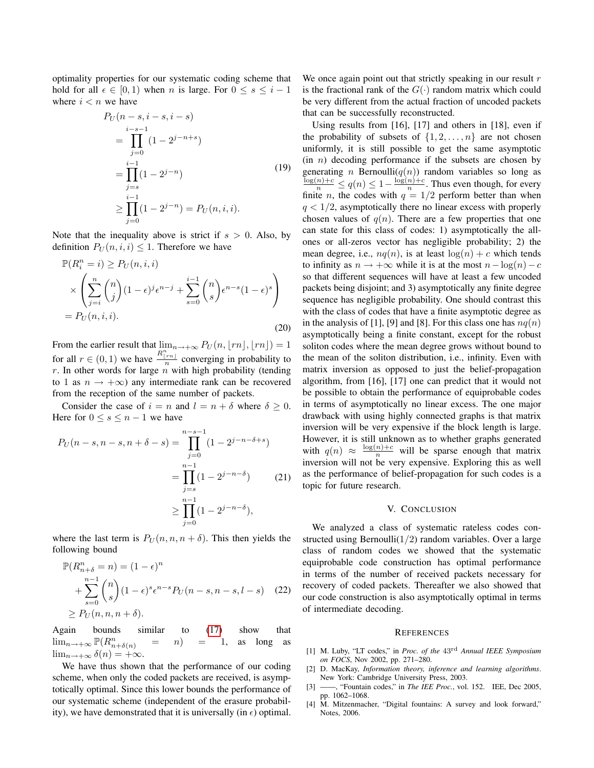optimality properties for our systematic coding scheme that hold for all  $\epsilon \in [0, 1)$  when n is large. For  $0 \le s \le i - 1$ where  $i < n$  we have

$$
P_U(n-s, i-s, i-s)
$$
  
= 
$$
\prod_{j=0}^{i-s-1} (1-2^{j-n+s})
$$
  
= 
$$
\prod_{j=s}^{i-1} (1-2^{j-n})
$$
  

$$
\geq \prod_{j=0}^{i-1} (1-2^{j-n}) = P_U(n, i, i).
$$
 (19)

Note that the inequality above is strict if  $s > 0$ . Also, by definition  $P_U(n, i, i) \leq 1$ . Therefore we have

$$
\mathbb{P}(R_i^n = i) \ge P_U(n, i, i)
$$
  
\n
$$
\times \left( \sum_{j=i}^n \binom{n}{j} (1 - \epsilon)^j \epsilon^{n-j} + \sum_{s=0}^{i-1} \binom{n}{s} \epsilon^{n-s} (1 - \epsilon)^s \right)
$$
  
\n
$$
= P_U(n, i, i).
$$
\n(20)

From the earlier result that  $\lim_{n \to +\infty} P_U(n, \lfloor rn \rfloor, \lfloor rn \rfloor) = 1$ for all  $r \in (0, 1)$  we have  $\frac{R_{\lfloor rn \rfloor}^{n}}{n}$  converging in probability to  $r$ . In other words for large  $n$  with high probability (tending to 1 as  $n \rightarrow +\infty$ ) any intermediate rank can be recovered from the reception of the same number of packets.

Consider the case of  $i = n$  and  $l = n + \delta$  where  $\delta \geq 0$ . Here for  $0 \leq s \leq n-1$  we have

$$
P_U(n-s, n-s, n+\delta-s) = \prod_{j=0}^{n-s-1} (1 - 2^{j-n-\delta+s})
$$
  
= 
$$
\prod_{j=s}^{n-1} (1 - 2^{j-n-\delta})
$$
 (21)  

$$
\geq \prod_{j=0}^{n-1} (1 - 2^{j-n-\delta}),
$$

where the last term is  $P_U(n, n, n + \delta)$ . This then yields the following bound

$$
\mathbb{P}(R_{n+\delta}^n = n) = (1 - \epsilon)^n
$$
  
+ 
$$
\sum_{s=0}^{n-1} {n \choose s} (1 - \epsilon)^s \epsilon^{n-s} P_U(n-s, n-s, l-s)
$$
 (22)  

$$
\ge P_U(n, n, n+\delta).
$$

Again bounds similar to [\(17\)](#page-5-1) show that  $\lim_{n \to +\infty} \mathbb{P}(R_{n+\delta(n)}^n = n) = 1$ , as long as  $\lim_{n\to+\infty}\delta(n)=+\infty.$ 

We have thus shown that the performance of our coding scheme, when only the coded packets are received, is asymptotically optimal. Since this lower bounds the performance of our systematic scheme (independent of the erasure probability), we have demonstrated that it is universally (in  $\epsilon$ ) optimal.

We once again point out that strictly speaking in our result  $r$ is the fractional rank of the  $G(\cdot)$  random matrix which could be very different from the actual fraction of uncoded packets that can be successfully reconstructed.

Using results from [16], [17] and others in [18], even if the probability of subsets of  $\{1, 2, \ldots, n\}$  are not chosen uniformly, it is still possible to get the same asymptotic  $(in n)$  decoding performance if the subsets are chosen by generating *n* Bernoulli $(q(n))$  random variables so long as  $\frac{\log(n)+c}{n} \leq q(n) \leq 1-\frac{\log(n)+c}{n}$  $\frac{n}{n}$ . Thus even though, for every finite *n*, the codes with  $q = 1/2$  perform better than when  $q < 1/2$ , asymptotically there no linear excess with properly chosen values of  $q(n)$ . There are a few properties that one can state for this class of codes: 1) asymptotically the allones or all-zeros vector has negligible probability; 2) the mean degree, i.e.,  $nq(n)$ , is at least  $log(n) + c$  which tends to infinity as  $n \to +\infty$  while it is at the most  $n - \log(n) - c$ so that different sequences will have at least a few uncoded packets being disjoint; and 3) asymptotically any finite degree sequence has negligible probability. One should contrast this with the class of codes that have a finite asymptotic degree as in the analysis of [1], [9] and [8]. For this class one has  $nq(n)$ asymptotically being a finite constant, except for the robust soliton codes where the mean degree grows without bound to the mean of the soliton distribution, i.e., infinity. Even with matrix inversion as opposed to just the belief-propagation algorithm, from [16], [17] one can predict that it would not be possible to obtain the performance of equiprobable codes in terms of asymptotically no linear excess. The one major drawback with using highly connected graphs is that matrix inversion will be very expensive if the block length is large. However, it is still unknown as to whether graphs generated with  $q(n) \approx \frac{\log(n)+c}{n}$  will be sparse enough that matrix inversion will not be very expensive. Exploring this as well as the performance of belief-propagation for such codes is a topic for future research.

#### V. CONCLUSION

<span id="page-6-0"></span>We analyzed a class of systematic rateless codes constructed using Bernoulli $(1/2)$  random variables. Over a large class of random codes we showed that the systematic equiprobable code construction has optimal performance in terms of the number of received packets necessary for recovery of coded packets. Thereafter we also showed that our code construction is also asymptotically optimal in terms of intermediate decoding.

#### **REFERENCES**

- [1] M. Luby, "LT codes," in *Proc. of the* 43rd *Annual IEEE Symposium on FOCS*, Nov 2002, pp. 271–280.
- [2] D. MacKay, *Information theory, inference and learning algorithms*. New York: Cambridge University Press, 2003.
- [3] ——, "Fountain codes," in *The IEE Proc.*, vol. 152. IEE, Dec 2005, pp. 1062–1068.
- [4] M. Mitzenmacher, "Digital fountains: A survey and look forward," Notes, 2006.